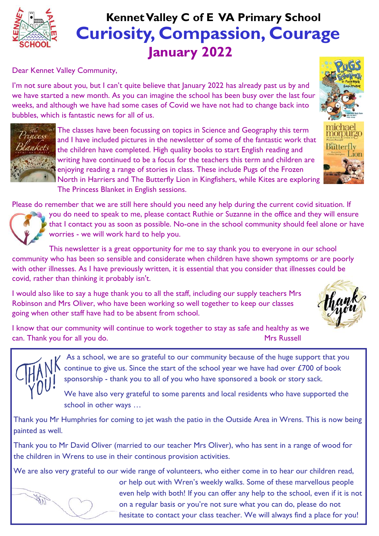

# **Curiosity, Compassion, Courage January 2022 Kennet Valley C of E VA Primary School**

Dear Kennet Valley Community,

I'm not sure about you, but I can't quite believe that January 2022 has already past us by and we have started a new month. As you can imagine the school has been busy over the last four weeks, and although we have had some cases of Covid we have not had to change back into bubbles, which is fantastic news for all of us.



The classes have been focussing on topics in Science and Geography this term and I have included pictures in the newsletter of some of the fantastic work that the children have completed. High quality books to start English reading and writing have continued to be a focus for the teachers this term and children are enjoying reading a range of stories in class. These include Pugs of the Frozen North in Harriers and The Butterfly Lion in Kingfishers, while Kites are exploring The Princess Blanket in English sessions.

Please do remember that we are still here should you need any help during the current covid situation. If



you do need to speak to me, please contact Ruthie or Suzanne in the office and they will ensure that I contact you as soon as possible. No-one in the school community should feel alone or have worries - we will work hard to help you.

This newsletter is a great opportunity for me to say thank you to everyone in our school community who has been so sensible and considerate when children have shown symptoms or are poorly with other illnesses. As I have previously written, it is essential that you consider that illnesses could be covid, rather than thinking it probably isn't.

I would also like to say a huge thank you to all the staff, including our supply teachers Mrs Robinson and Mrs Oliver, who have been working so well together to keep our classes going when other staff have had to be absent from school.



I know that our community will continue to work together to stay as safe and healthy as we can. Thank you for all you do. Thank you for all you do.



As a school, we are so grateful to our community because of the huge support that you continue to give us. Since the start of the school year we have had over £700 of book sponsorship - thank you to all of you who have sponsored a book or story sack.

We have also very grateful to some parents and local residents who have supported the school in other ways …

Thank you Mr Humphries for coming to jet wash the patio in the Outside Area in Wrens. This is now being painted as well.

Thank you to Mr David Oliver (married to our teacher Mrs Oliver), who has sent in a range of wood for the children in Wrens to use in their continous provision activities.

We are also very grateful to our wide range of volunteers, who either come in to hear our children read,



or help out with Wren's weekly walks. Some of these marvellous people even help with both! If you can offer any help to the school, even if it is not on a regular basis or you're not sure what you can do, please do not hesitate to contact your class teacher. We will always find a place for you!

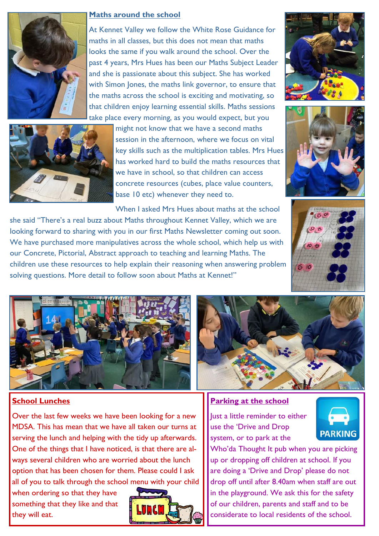

#### **Maths around the school**

At Kennet Valley we follow the White Rose Guidance for maths in all classes, but this does not mean that maths looks the same if you walk around the school. Over the past 4 years, Mrs Hues has been our Maths Subject Leader and she is passionate about this subject. She has worked with Simon Jones, the maths link governor, to ensure that the maths across the school is exciting and motivating, so that children enjoy learning essential skills. Maths sessions take place every morning, as you would expect, but you



might not know that we have a second maths session in the afternoon, where we focus on vital key skills such as the multiplication tables. Mrs Hues has worked hard to build the maths resources that we have in school, so that children can access concrete resources (cubes, place value counters, base 10 etc) whenever they need to.







When I asked Mrs Hues about maths at the school she said "There's a real buzz about Maths throughout Kennet Valley, which we are looking forward to sharing with you in our first Maths Newsletter coming out soon. We have purchased more manipulatives across the whole school, which help us with our Concrete, Pictorial, Abstract approach to teaching and learning Maths. The children use these resources to help explain their reasoning when answering problem solving questions. More detail to follow soon about Maths at Kennet!"



# **School Lunches**

Over the last few weeks we have been looking for a new MDSA. This has mean that we have all taken our turns at serving the lunch and helping with the tidy up afterwards. One of the things that I have noticed, is that there are always several children who are worried about the lunch option that has been chosen for them. Please could I ask all of you to talk through the school menu with your child

when ordering so that they have something that they like and that they will eat.



#### **Parking at the school**

Just a little reminder to either use the 'Drive and Drop system, or to park at the



Who'da Thought It pub when you are picking up or dropping off children at school. If you are doing a 'Drive and Drop' please do not drop off until after 8.40am when staff are out in the playground. We ask this for the safety of our children, parents and staff and to be considerate to local residents of the school.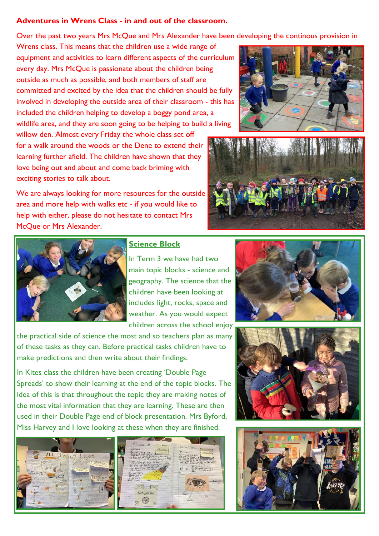# **Adventures in Wrens Class - in and out of the classroom.**

Over the past two years Mrs McQue and Mrs Alexander have been developing the continous provision in

Wrens class. This means that the children use a wide range of equipment and activities to learn different aspects of the curriculum every day. Mrs McQue is passionate about the children being outside as much as possible, and both members of staff are committed and excited by the idea that the children should be fully involved in developing the outside area of their classroom - this has included the children helping to develop a boggy pond area, a wildlife area, and they are soon going to be helping to build a living

willow den. Almost every Friday the whole class set off for a walk around the woods or the Dene to extend their learning further afield. The children have shown that they love being out and about and come back briming with exciting stories to talk about.

We are always looking for more resources for the outside area and more help with walks etc - if you would like to help with either, please do not hesitate to contact Mrs McQue or Mrs Alexander.







### **Science Block**

In Term 3 we have had two main topic blocks - science and geography. The science that the children have been looking at includes light, rocks, space and weather. As you would expect children across the school enjoy

the practical side of science the most and so teachers plan as many of these tasks as they can. Before practical tasks children have to make predictions and then write about their findings.

In Kites class the children have been creating 'Double Page Spreads' to show their learning at the end of the topic blocks. The idea of this is that throughout the topic they are making notes of the most vital information that they are learning. These are then used in their Double Page end of block presentation. Mrs Byford, Miss Harvey and I love looking at these when they are finished.